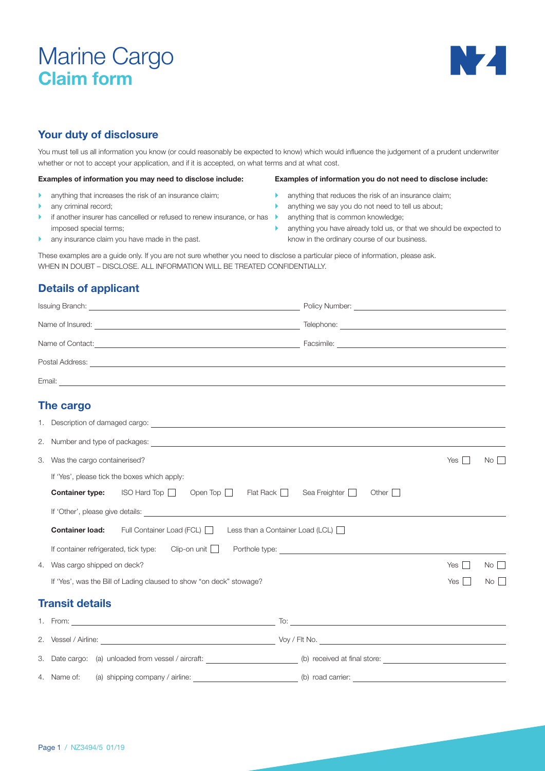# Marine Cargo **Claim form**



# **Your duty of disclosure**

You must tell us all information you know (or could reasonably be expected to know) which would influence the judgement of a prudent underwriter whether or not to accept your application, and if it is accepted, on what terms and at what cost.

### **Examples of information you may need to disclose include:**

- $\blacktriangleright$  anything that increases the risk of an insurance claim;
- $\blacktriangleright$  any criminal record:
- if another insurer has cancelled or refused to renew insurance, or has **b** anything that is common knowledge; imposed special terms;
- $\blacktriangleright$  any insurance claim you have made in the past.

#### **Examples of information you do not need to disclose include:**

- $\blacktriangleright$  anything that reduces the risk of an insurance claim;
- $\blacktriangleright$  anything we say you do not need to tell us about;
- 
- $\blacktriangleright$  anything you have already told us, or that we should be expected to know in the ordinary course of our business.

These examples are a guide only. If you are not sure whether you need to disclose a particular piece of information, please ask. WHEN IN DOUBT – DISCLOSE. ALL INFORMATION WILL BE TREATED CONFIDENTIALLY.

# **Details of applicant**

| Issuing Branch:  | Policy Number: |  |
|------------------|----------------|--|
| Name of Insured: | Telephone:     |  |
| Name of Contact: | Facsimile:     |  |
| Postal Address:  |                |  |
| Email:           |                |  |
|                  |                |  |

# **The cargo**

|                        | No<br>3. Was the cargo containerised?<br>Yes $  \;  $                                                                  |                                                                                                                      |  |  |
|------------------------|------------------------------------------------------------------------------------------------------------------------|----------------------------------------------------------------------------------------------------------------------|--|--|
|                        | If 'Yes', please tick the boxes which apply:                                                                           |                                                                                                                      |  |  |
|                        | <b>Container type:</b> ISO Hard Top     Open Top     Flat Rack     Sea Freighter                                       | Other                                                                                                                |  |  |
|                        |                                                                                                                        |                                                                                                                      |  |  |
|                        | <b>Container load:</b> Full Container Load (FCL) Less than a Container Load (LCL) $\Box$                               |                                                                                                                      |  |  |
|                        |                                                                                                                        |                                                                                                                      |  |  |
|                        | 4. Was cargo shipped on deck?                                                                                          | $No$ $\vert$<br>Yes<br>$\mathbf{I}$                                                                                  |  |  |
|                        | If 'Yes', was the Bill of Lading claused to show "on deck" stowage?                                                    | Yes<br>No <sub>1</sub>                                                                                               |  |  |
| <b>Transit details</b> |                                                                                                                        |                                                                                                                      |  |  |
|                        |                                                                                                                        | To: $\overline{\phantom{a}}$                                                                                         |  |  |
|                        |                                                                                                                        |                                                                                                                      |  |  |
|                        | 3. Date cargo: (a) unloaded from vessel / aircraft: ______________________(b) received at final store: _______________ |                                                                                                                      |  |  |
|                        | 4. Name of: (a) shipping company / airline: ___________________________(b) road carrier: _                             | <u> 1989 - Johann Stein, mars an deutscher Stein und der Stein und der Stein und der Stein und der Stein und der</u> |  |  |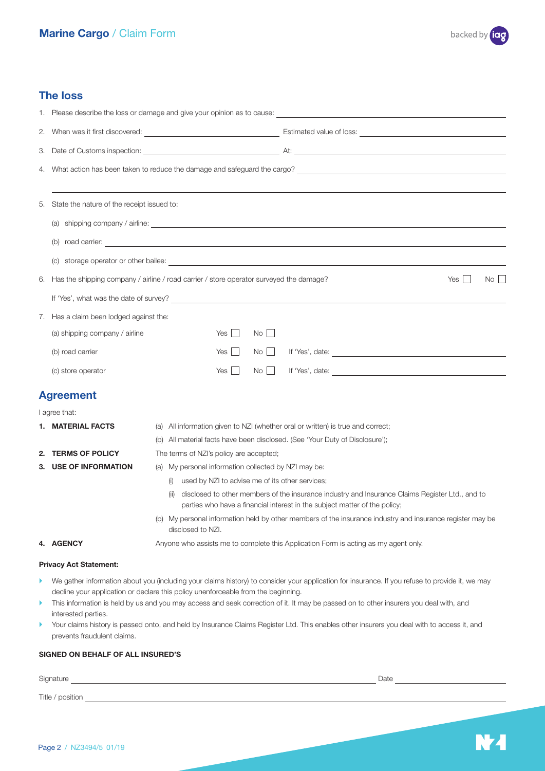

NZ.

## **The loss**

|    | 5. State the nature of the receipt issued to:                                                                                                                                                                              |                                                                                                                                                                                                                                |
|----|----------------------------------------------------------------------------------------------------------------------------------------------------------------------------------------------------------------------------|--------------------------------------------------------------------------------------------------------------------------------------------------------------------------------------------------------------------------------|
|    |                                                                                                                                                                                                                            |                                                                                                                                                                                                                                |
|    |                                                                                                                                                                                                                            |                                                                                                                                                                                                                                |
|    |                                                                                                                                                                                                                            | (c) storage operator or other bailee: example and contract the contract of the contract of the contract of the contract of the contract of the contract of the contract of the contract of the contract of the contract of the |
| 6. |                                                                                                                                                                                                                            | Has the shipping company / airline / road carrier / store operator surveyed the damage?<br>$\mathbf{L}$<br>$No$ $\vert$<br>Yes I                                                                                               |
|    |                                                                                                                                                                                                                            | If 'Yes', what was the date of survey?                                                                                                                                                                                         |
|    | 7. Has a claim been lodged against the:                                                                                                                                                                                    |                                                                                                                                                                                                                                |
|    | (a) shipping company / airline                                                                                                                                                                                             | Yes $\vert \ \vert$<br>$No$                                                                                                                                                                                                    |
|    | (b) road carrier                                                                                                                                                                                                           | Yes I<br>$No$ $\Box$                                                                                                                                                                                                           |
|    | (c) store operator                                                                                                                                                                                                         | $Yes$    <br>No                                                                                                                                                                                                                |
|    | <b>Agreement</b>                                                                                                                                                                                                           |                                                                                                                                                                                                                                |
|    | I agree that:                                                                                                                                                                                                              |                                                                                                                                                                                                                                |
|    | 1. MATERIAL FACTS                                                                                                                                                                                                          | (a) All information given to NZI (whether oral or written) is true and correct;                                                                                                                                                |
|    |                                                                                                                                                                                                                            | (b) All material facts have been disclosed. (See 'Your Duty of Disclosure');                                                                                                                                                   |
| 2. | <b>TERMS OF POLICY</b><br>3. USE OF INFORMATION                                                                                                                                                                            | The terms of NZI's policy are accepted;<br>(a) My personal information collected by NZI may be:                                                                                                                                |
|    |                                                                                                                                                                                                                            | used by NZI to advise me of its other services;<br>(i)                                                                                                                                                                         |
|    |                                                                                                                                                                                                                            | disclosed to other members of the insurance industry and Insurance Claims Register Ltd., and to<br>(ii)<br>parties who have a financial interest in the subject matter of the policy;                                          |
|    |                                                                                                                                                                                                                            | (b) My personal information held by other members of the insurance industry and insurance register may be<br>disclosed to NZI.                                                                                                 |
|    | <b>4. AGENCY</b>                                                                                                                                                                                                           | Anyone who assists me to complete this Application Form is acting as my agent only.                                                                                                                                            |
|    | <b>Privacy Act Statement:</b>                                                                                                                                                                                              |                                                                                                                                                                                                                                |
| Þ. |                                                                                                                                                                                                                            | We gather information about you (including your claims history) to consider your application for insurance. If you refuse to provide it, we may                                                                                |
| ▶  | decline your application or declare this policy unenforceable from the beginning.<br>This information is held by us and you may access and seek correction of it. It may be passed on to other insurers you deal with, and |                                                                                                                                                                                                                                |
| ▶  | interested parties.<br>prevents fraudulent claims.                                                                                                                                                                         | Your claims history is passed onto, and held by Insurance Claims Register Ltd. This enables other insurers you deal with to access it, and                                                                                     |
|    | SIGNED ON BEHALF OF ALL INSURED'S                                                                                                                                                                                          |                                                                                                                                                                                                                                |

# Signature Date Title / position